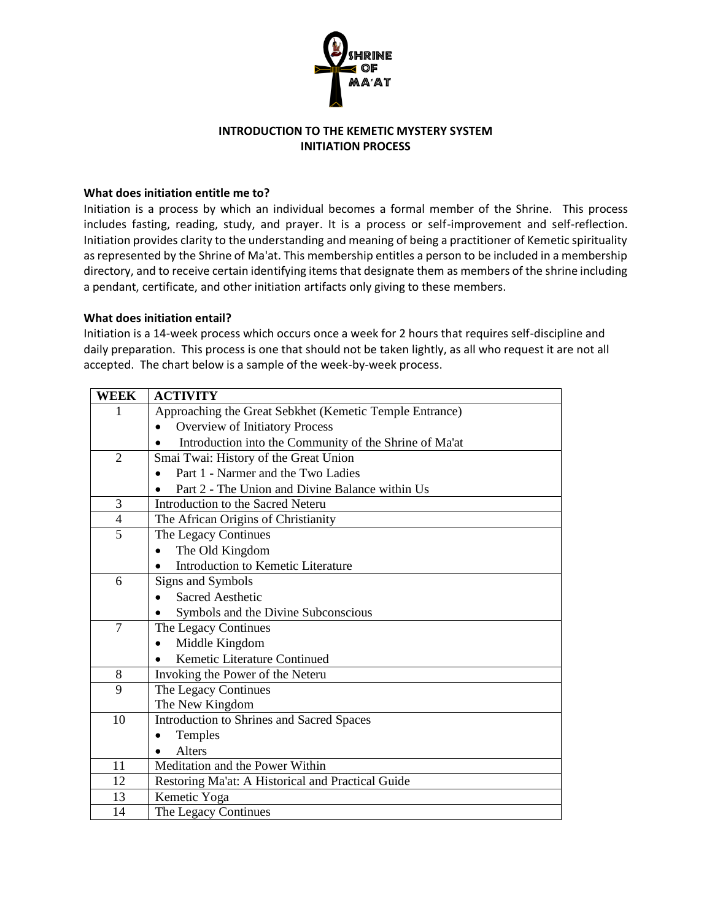

### **INTRODUCTION TO THE KEMETIC MYSTERY SYSTEM INITIATION PROCESS**

#### **What does initiation entitle me to?**

Initiation is a process by which an individual becomes a formal member of the Shrine. This process includes fasting, reading, study, and prayer. It is a process or self-improvement and self-reflection. Initiation provides clarity to the understanding and meaning of being a practitioner of Kemetic spirituality as represented by the Shrine of Ma'at. This membership entitles a person to be included in a membership directory, and to receive certain identifying items that designate them as members of the shrine including a pendant, certificate, and other initiation artifacts only giving to these members.

#### **What does initiation entail?**

Initiation is a 14-week process which occurs once a week for 2 hours that requires self-discipline and daily preparation. This process is one that should not be taken lightly, as all who request it are not all accepted. The chart below is a sample of the week-by-week process.

| <b>WEEK</b>    | <b>ACTIVITY</b>                                         |
|----------------|---------------------------------------------------------|
| 1              | Approaching the Great Sebkhet (Kemetic Temple Entrance) |
|                | Overview of Initiatory Process                          |
|                | Introduction into the Community of the Shrine of Ma'at  |
| $\mathfrak{D}$ | Smai Twai: History of the Great Union                   |
|                | Part 1 - Narmer and the Two Ladies                      |
|                | Part 2 - The Union and Divine Balance within Us         |
| 3              | Introduction to the Sacred Neteru                       |
| $\overline{4}$ | The African Origins of Christianity                     |
| 5              | The Legacy Continues                                    |
|                | The Old Kingdom                                         |
|                | Introduction to Kemetic Literature                      |
| 6              | Signs and Symbols                                       |
|                | Sacred Aesthetic                                        |
|                | Symbols and the Divine Subconscious                     |
| $\overline{7}$ | The Legacy Continues                                    |
|                | Middle Kingdom                                          |
|                | Kemetic Literature Continued                            |
| 8              | Invoking the Power of the Neteru                        |
| 9              | The Legacy Continues                                    |
|                | The New Kingdom                                         |
| 10             | Introduction to Shrines and Sacred Spaces               |
|                | Temples                                                 |
|                | Alters                                                  |
| 11             | Meditation and the Power Within                         |
| 12             | Restoring Ma'at: A Historical and Practical Guide       |
| 13             | Kemetic Yoga                                            |
| 14             | The Legacy Continues                                    |